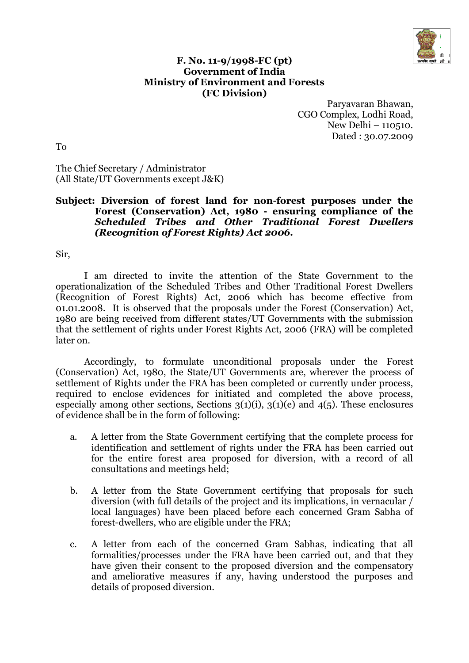

## **F. No. 11-9/1998-FC (pt) Government of India Ministry of Environment and Forests (FC Division)**

Paryavaran Bhawan, CGO Complex, Lodhi Road, New Delhi – 110510. Dated : 30.07.2009

To

The Chief Secretary / Administrator (All State/UT Governments except J&K)

## **Subject: Diversion of forest land for non-forest purposes under the Forest (Conservation) Act, 1980 - ensuring compliance of the** *Scheduled Tribes and Other Traditional Forest Dwellers (Recognition of Forest Rights) Act 2006***.**

Sir,

I am directed to invite the attention of the State Government to the operationalization of the Scheduled Tribes and Other Traditional Forest Dwellers (Recognition of Forest Rights) Act, 2006 which has become effective from 01.01.2008. It is observed that the proposals under the Forest (Conservation) Act, 1980 are being received from different states/UT Governments with the submission that the settlement of rights under Forest Rights Act, 2006 (FRA) will be completed later on.

Accordingly, to formulate unconditional proposals under the Forest (Conservation) Act, 1980, the State/UT Governments are, wherever the process of settlement of Rights under the FRA has been completed or currently under process, required to enclose evidences for initiated and completed the above process, especially among other sections, Sections  $3(1)(i)$ ,  $3(1)(e)$  and  $4(5)$ . These enclosures of evidence shall be in the form of following:

- a. A letter from the State Government certifying that the complete process for identification and settlement of rights under the FRA has been carried out for the entire forest area proposed for diversion, with a record of all consultations and meetings held;
- b. A letter from the State Government certifying that proposals for such diversion (with full details of the project and its implications, in vernacular / local languages) have been placed before each concerned Gram Sabha of forest-dwellers, who are eligible under the FRA;
- c. A letter from each of the concerned Gram Sabhas, indicating that all formalities/processes under the FRA have been carried out, and that they have given their consent to the proposed diversion and the compensatory and ameliorative measures if any, having understood the purposes and details of proposed diversion.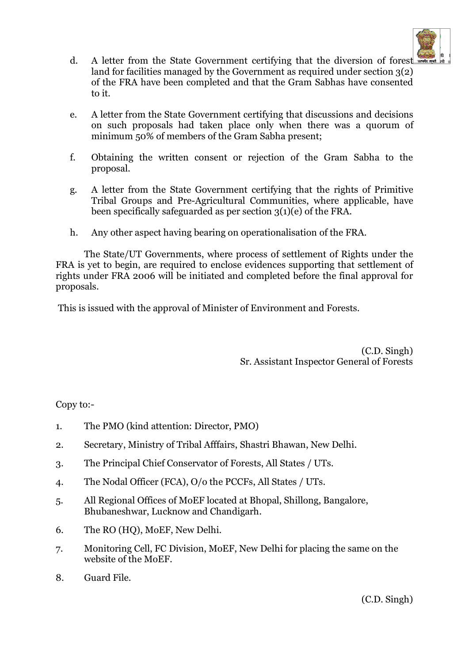

- d. A letter from the State Government certifying that the diversion of forest land for facilities managed by the Government as required under section 3(2) of the FRA have been completed and that the Gram Sabhas have consented to it.
- e. A letter from the State Government certifying that discussions and decisions on such proposals had taken place only when there was a quorum of minimum 50% of members of the Gram Sabha present;
- f. Obtaining the written consent or rejection of the Gram Sabha to the proposal.
- g. A letter from the State Government certifying that the rights of Primitive Tribal Groups and Pre-Agricultural Communities, where applicable, have been specifically safeguarded as per section 3(1)(e) of the FRA.
- h. Any other aspect having bearing on operationalisation of the FRA.

The State/UT Governments, where process of settlement of Rights under the FRA is yet to begin, are required to enclose evidences supporting that settlement of rights under FRA 2006 will be initiated and completed before the final approval for proposals.

This is issued with the approval of Minister of Environment and Forests.

(C.D. Singh) Sr. Assistant Inspector General of Forests

Copy to:-

- 1. The PMO (kind attention: Director, PMO)
- 2. Secretary, Ministry of Tribal Afffairs, Shastri Bhawan, New Delhi.
- 3. The Principal Chief Conservator of Forests, All States / UTs.
- 4. The Nodal Officer (FCA), O/o the PCCFs, All States / UTs.
- 5. All Regional Offices of MoEF located at Bhopal, Shillong, Bangalore, Bhubaneshwar, Lucknow and Chandigarh.
- 6. The RO (HQ), MoEF, New Delhi.
- 7. Monitoring Cell, FC Division, MoEF, New Delhi for placing the same on the website of the MoEF.
- 8. Guard File.